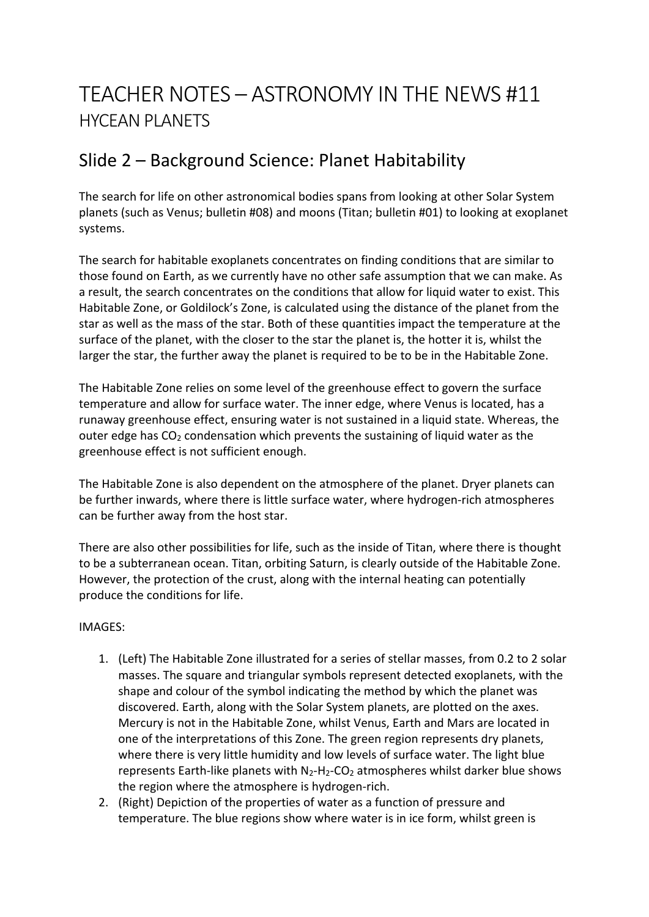# TEACHER NOTES – ASTRONOMY IN THE NEWS #11 HYCEAN PLANETS

### Slide 2 – Background Science: Planet Habitability

The search for life on other astronomical bodies spans from looking at other Solar System planets (such as Venus; bulletin #08) and moons (Titan; bulletin #01) to looking at exoplanet systems.

The search for habitable exoplanets concentrates on finding conditions that are similar to those found on Earth, as we currently have no other safe assumption that we can make. As a result, the search concentrates on the conditions that allow for liquid water to exist. This Habitable Zone, or Goldilock's Zone, is calculated using the distance of the planet from the star as well as the mass of the star. Both of these quantities impact the temperature at the surface of the planet, with the closer to the star the planet is, the hotter it is, whilst the larger the star, the further away the planet is required to be to be in the Habitable Zone.

The Habitable Zone relies on some level of the greenhouse effect to govern the surface temperature and allow for surface water. The inner edge, where Venus is located, has a runaway greenhouse effect, ensuring water is not sustained in a liquid state. Whereas, the outer edge has  $CO<sub>2</sub>$  condensation which prevents the sustaining of liquid water as the greenhouse effect is not sufficient enough.

The Habitable Zone is also dependent on the atmosphere of the planet. Dryer planets can be further inwards, where there is little surface water, where hydrogen-rich atmospheres can be further away from the host star.

There are also other possibilities for life, such as the inside of Titan, where there is thought to be a subterranean ocean. Titan, orbiting Saturn, is clearly outside of the Habitable Zone. However, the protection of the crust, along with the internal heating can potentially produce the conditions for life.

#### IMAGES:

- 1. (Left) The Habitable Zone illustrated for a series of stellar masses, from 0.2 to 2 solar masses. The square and triangular symbols represent detected exoplanets, with the shape and colour of the symbol indicating the method by which the planet was discovered. Earth, along with the Solar System planets, are plotted on the axes. Mercury is not in the Habitable Zone, whilst Venus, Earth and Mars are located in one of the interpretations of this Zone. The green region represents dry planets, where there is very little humidity and low levels of surface water. The light blue represents Earth-like planets with  $N_2-H_2-CO_2$  atmospheres whilst darker blue shows the region where the atmosphere is hydrogen-rich.
- 2. (Right) Depiction of the properties of water as a function of pressure and temperature. The blue regions show where water is in ice form, whilst green is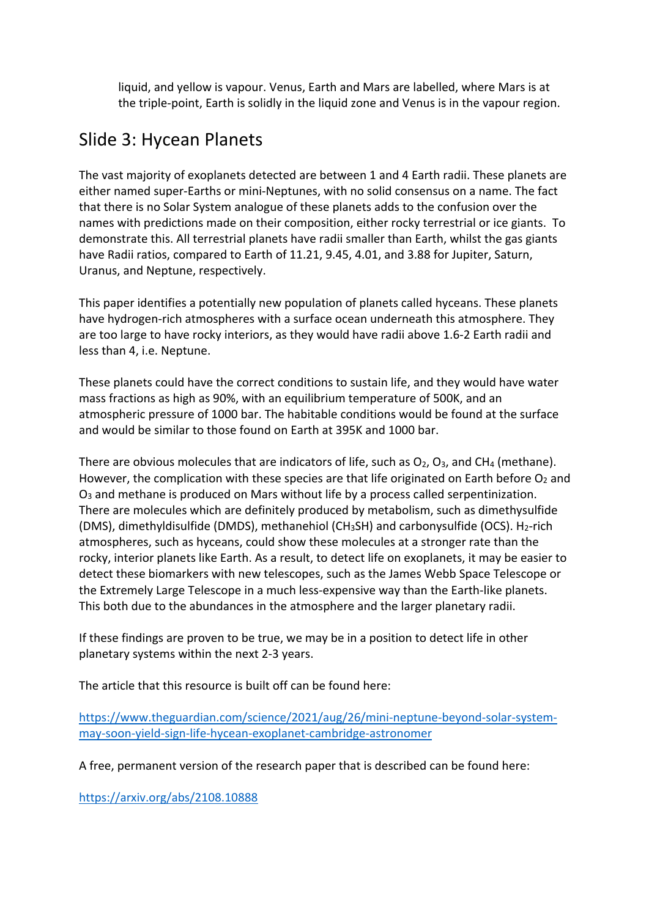liquid, and yellow is vapour. Venus, Earth and Mars are labelled, where Mars is at the triple-point, Earth is solidly in the liquid zone and Venus is in the vapour region.

### Slide 3: Hycean Planets

The vast majority of exoplanets detected are between 1 and 4 Earth radii. These planets are either named super-Earths or mini-Neptunes, with no solid consensus on a name. The fact that there is no Solar System analogue of these planets adds to the confusion over the names with predictions made on their composition, either rocky terrestrial or ice giants. To demonstrate this. All terrestrial planets have radii smaller than Earth, whilst the gas giants have Radii ratios, compared to Earth of 11.21, 9.45, 4.01, and 3.88 for Jupiter, Saturn, Uranus, and Neptune, respectively.

This paper identifies a potentially new population of planets called hyceans. These planets have hydrogen-rich atmospheres with a surface ocean underneath this atmosphere. They are too large to have rocky interiors, as they would have radii above 1.6-2 Earth radii and less than 4, i.e. Neptune.

These planets could have the correct conditions to sustain life, and they would have water mass fractions as high as 90%, with an equilibrium temperature of 500K, and an atmospheric pressure of 1000 bar. The habitable conditions would be found at the surface and would be similar to those found on Earth at 395K and 1000 bar.

There are obvious molecules that are indicators of life, such as  $O_2$ ,  $O_3$ , and CH<sub>4</sub> (methane). However, the complication with these species are that life originated on Earth before  $O<sub>2</sub>$  and O3 and methane is produced on Mars without life by a process called serpentinization. There are molecules which are definitely produced by metabolism, such as dimethysulfide (DMS), dimethyldisulfide (DMDS), methanehiol (CH<sub>3</sub>SH) and carbonysulfide (OCS). H<sub>2</sub>-rich atmospheres, such as hyceans, could show these molecules at a stronger rate than the rocky, interior planets like Earth. As a result, to detect life on exoplanets, it may be easier to detect these biomarkers with new telescopes, such as the James Webb Space Telescope or the Extremely Large Telescope in a much less-expensive way than the Earth-like planets. This both due to the abundances in the atmosphere and the larger planetary radii.

If these findings are proven to be true, we may be in a position to detect life in other planetary systems within the next 2-3 years.

The article that this resource is built off can be found here:

https://www.theguardian.com/science/2021/aug/26/mini-neptune-beyond-solar-systemmay-soon-yield-sign-life-hycean-exoplanet-cambridge-astronomer

A free, permanent version of the research paper that is described can be found here:

https://arxiv.org/abs/2108.10888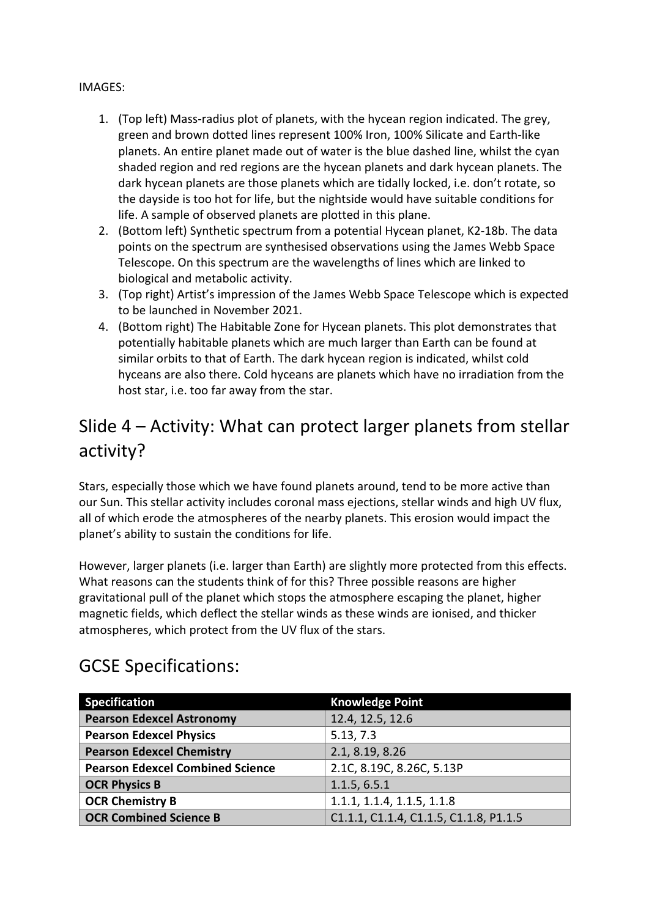#### IMAGES:

- 1. (Top left) Mass-radius plot of planets, with the hycean region indicated. The grey, green and brown dotted lines represent 100% Iron, 100% Silicate and Earth-like planets. An entire planet made out of water is the blue dashed line, whilst the cyan shaded region and red regions are the hycean planets and dark hycean planets. The dark hycean planets are those planets which are tidally locked, i.e. don't rotate, so the dayside is too hot for life, but the nightside would have suitable conditions for life. A sample of observed planets are plotted in this plane.
- 2. (Bottom left) Synthetic spectrum from a potential Hycean planet, K2-18b. The data points on the spectrum are synthesised observations using the James Webb Space Telescope. On this spectrum are the wavelengths of lines which are linked to biological and metabolic activity.
- 3. (Top right) Artist's impression of the James Webb Space Telescope which is expected to be launched in November 2021.
- 4. (Bottom right) The Habitable Zone for Hycean planets. This plot demonstrates that potentially habitable planets which are much larger than Earth can be found at similar orbits to that of Earth. The dark hycean region is indicated, whilst cold hyceans are also there. Cold hyceans are planets which have no irradiation from the host star, i.e. too far away from the star.

## Slide 4 – Activity: What can protect larger planets from stellar activity?

Stars, especially those which we have found planets around, tend to be more active than our Sun. This stellar activity includes coronal mass ejections, stellar winds and high UV flux, all of which erode the atmospheres of the nearby planets. This erosion would impact the planet's ability to sustain the conditions for life.

However, larger planets (i.e. larger than Earth) are slightly more protected from this effects. What reasons can the students think of for this? Three possible reasons are higher gravitational pull of the planet which stops the atmosphere escaping the planet, higher magnetic fields, which deflect the stellar winds as these winds are ionised, and thicker atmospheres, which protect from the UV flux of the stars.

| <b>Specification</b>                    | <b>Knowledge Point</b>                 |
|-----------------------------------------|----------------------------------------|
| <b>Pearson Edexcel Astronomy</b>        | 12.4, 12.5, 12.6                       |
| <b>Pearson Edexcel Physics</b>          | 5.13, 7.3                              |
| <b>Pearson Edexcel Chemistry</b>        | 2.1, 8.19, 8.26                        |
| <b>Pearson Edexcel Combined Science</b> | 2.1C, 8.19C, 8.26C, 5.13P              |
| <b>OCR Physics B</b>                    | 1.1.5, 6.5.1                           |
| <b>OCR Chemistry B</b>                  | 1.1.1, 1.1.4, 1.1.5, 1.1.8             |
| <b>OCR Combined Science B</b>           | C1.1.1, C1.1.4, C1.1.5, C1.1.8, P1.1.5 |

#### GCSE Specifications: